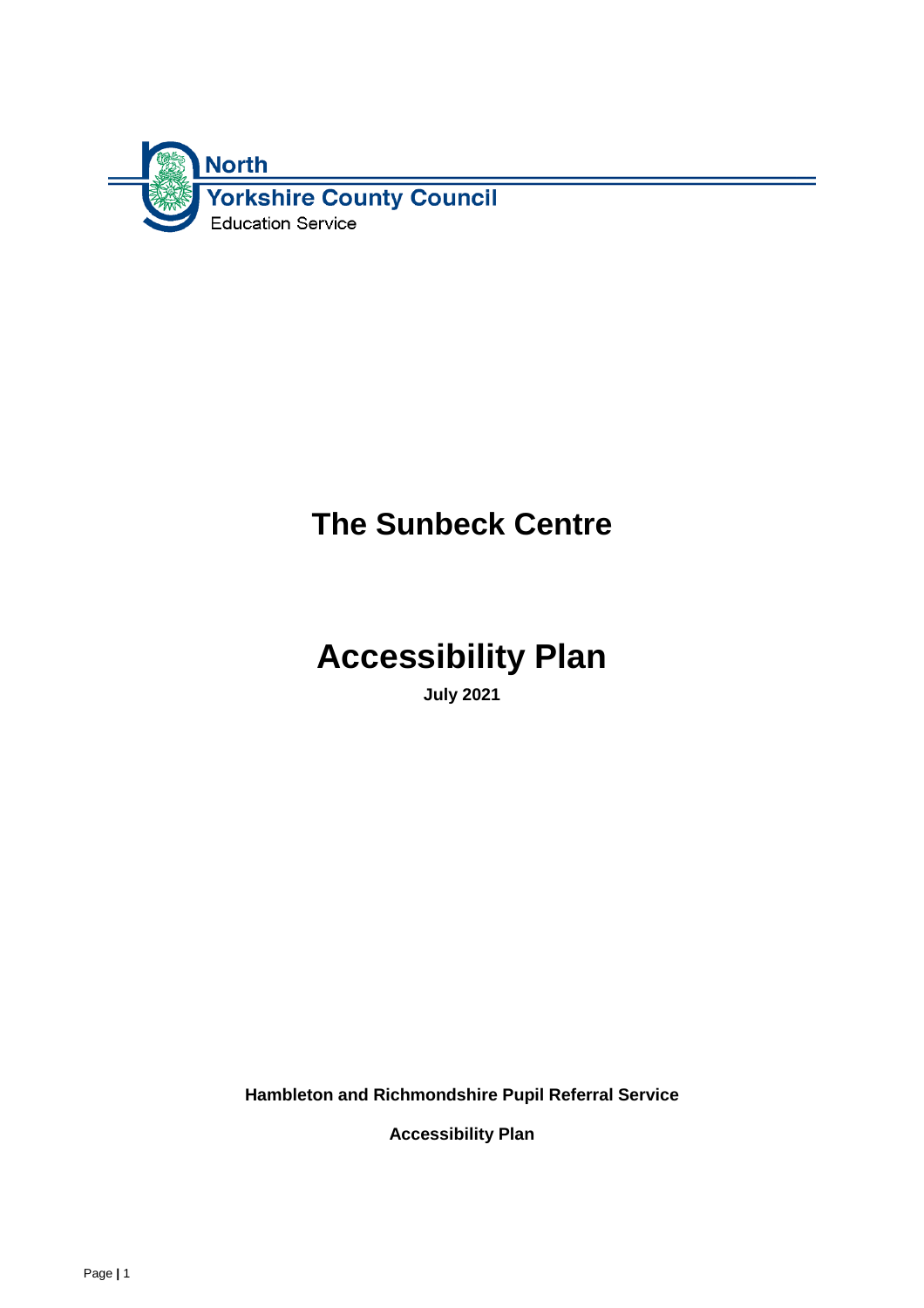

# **The Sunbeck Centre**

# **Accessibility Plan**

**July 2021**

**Hambleton and Richmondshire Pupil Referral Service**

**Accessibility Plan**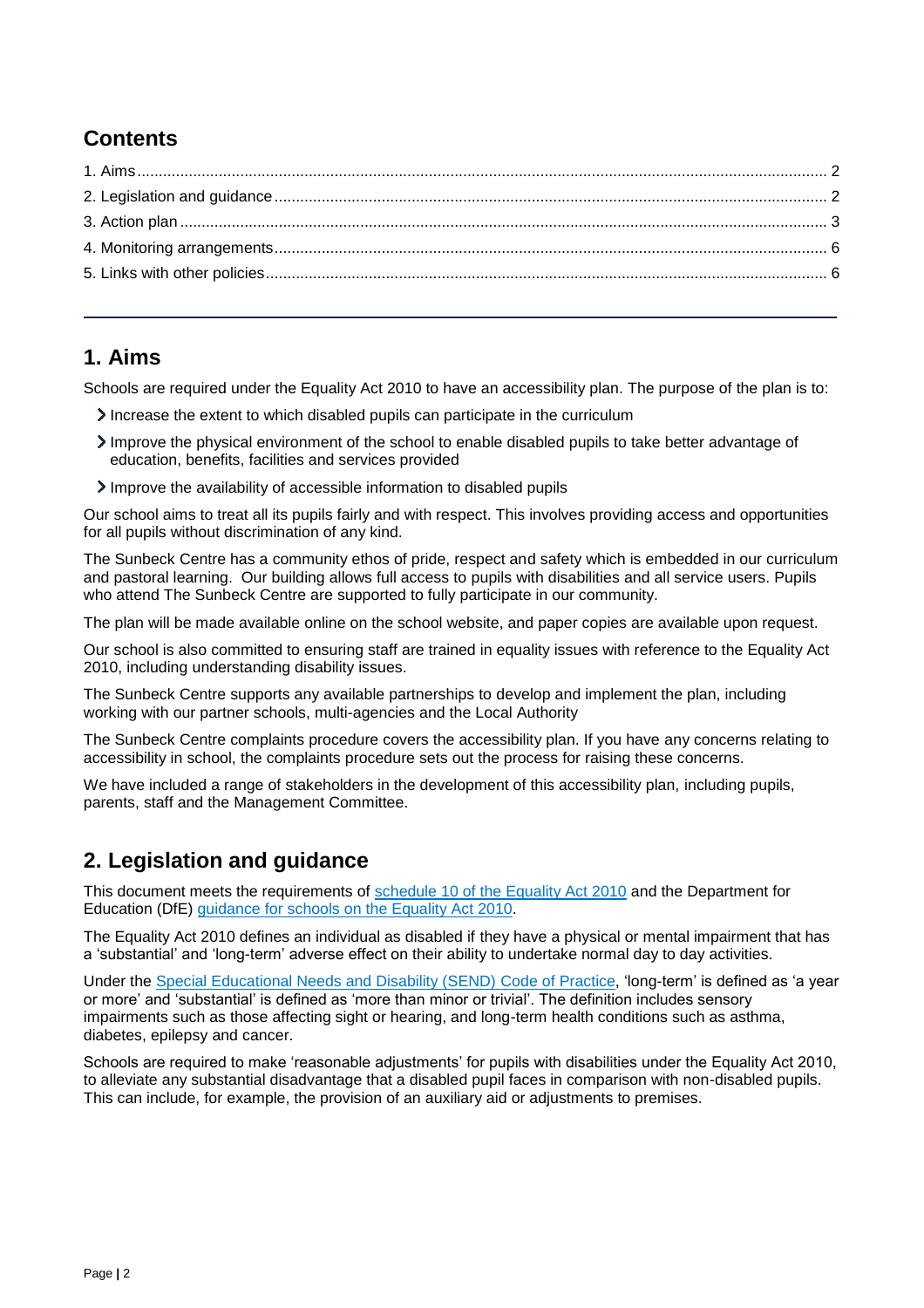## **Contents**

#### <span id="page-1-0"></span>**1. Aims**

Schools are required under the Equality Act 2010 to have an accessibility plan. The purpose of the plan is to:

- Increase the extent to which disabled pupils can participate in the curriculum
- Improve the physical environment of the school to enable disabled pupils to take better advantage of education, benefits, facilities and services provided
- Improve the availability of accessible information to disabled pupils

Our school aims to treat all its pupils fairly and with respect. This involves providing access and opportunities for all pupils without discrimination of any kind.

The Sunbeck Centre has a community ethos of pride, respect and safety which is embedded in our curriculum and pastoral learning. Our building allows full access to pupils with disabilities and all service users. Pupils who attend The Sunbeck Centre are supported to fully participate in our community.

The plan will be made available online on the school website, and paper copies are available upon request.

Our school is also committed to ensuring staff are trained in equality issues with reference to the Equality Act 2010, including understanding disability issues.

The Sunbeck Centre supports any available partnerships to develop and implement the plan, including working with our partner schools, multi-agencies and the Local Authority

The Sunbeck Centre complaints procedure covers the accessibility plan. If you have any concerns relating to accessibility in school, the complaints procedure sets out the process for raising these concerns.

We have included a range of stakeholders in the development of this accessibility plan, including pupils, parents, staff and the Management Committee.

#### <span id="page-1-1"></span>**2. Legislation and guidance**

This document meets the requirements of [schedule 10 of the Equality Act 2010](http://www.legislation.gov.uk/ukpga/2010/15/schedule/10) and the Department for Education (DfE) [guidance for schools on the Equality Act 2010.](https://www.gov.uk/government/publications/equality-act-2010-advice-for-schools)

The Equality Act 2010 defines an individual as disabled if they have a physical or mental impairment that has a 'substantial' and 'long-term' adverse effect on their ability to undertake normal day to day activities.

Under the [Special Educational Needs and Disability \(SEND\) Code of Practice,](https://www.gov.uk/government/publications/send-code-of-practice-0-to-25) 'long-term' is defined as 'a year or more' and 'substantial' is defined as 'more than minor or trivial'. The definition includes sensory impairments such as those affecting sight or hearing, and long-term health conditions such as asthma, diabetes, epilepsy and cancer.

Schools are required to make 'reasonable adjustments' for pupils with disabilities under the Equality Act 2010, to alleviate any substantial disadvantage that a disabled pupil faces in comparison with non-disabled pupils. This can include, for example, the provision of an auxiliary aid or adjustments to premises.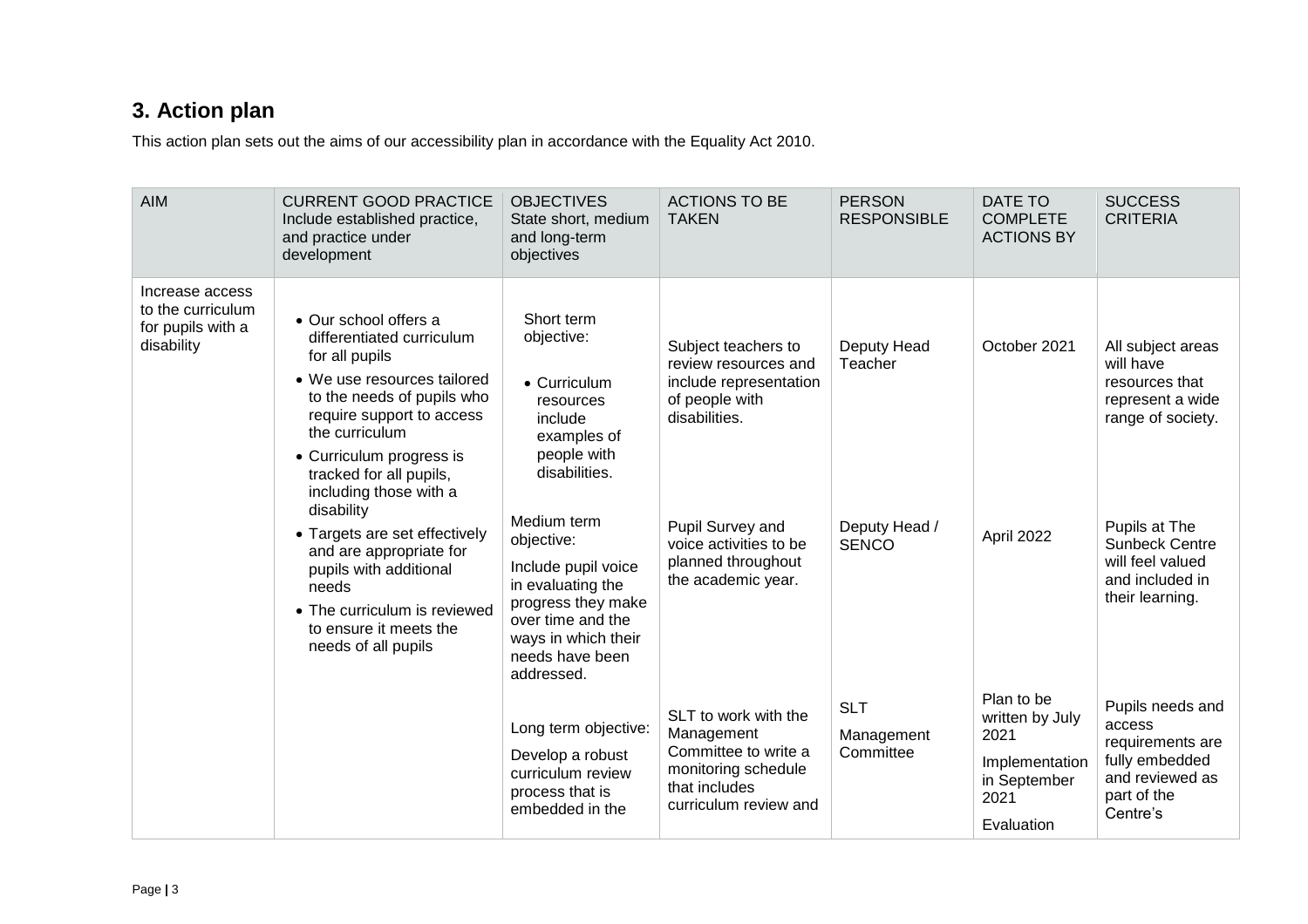# **3. Action plan**

This action plan sets out the aims of our accessibility plan in accordance with the Equality Act 2010.

<span id="page-2-0"></span>

| <b>AIM</b>                                                              | <b>CURRENT GOOD PRACTICE</b><br>Include established practice,<br>and practice under<br>development                                                                                                                                                                                                               | <b>OBJECTIVES</b><br>State short, medium<br>and long-term<br>objectives                                                                      | <b>ACTIONS TO BE</b><br><b>TAKEN</b>                                                                                                                   | <b>PERSON</b><br><b>RESPONSIBLE</b>                     | DATE TO<br><b>COMPLETE</b><br><b>ACTIONS BY</b>                                               | <b>SUCCESS</b><br><b>CRITERIA</b>                                                                                                   |
|-------------------------------------------------------------------------|------------------------------------------------------------------------------------------------------------------------------------------------------------------------------------------------------------------------------------------------------------------------------------------------------------------|----------------------------------------------------------------------------------------------------------------------------------------------|--------------------------------------------------------------------------------------------------------------------------------------------------------|---------------------------------------------------------|-----------------------------------------------------------------------------------------------|-------------------------------------------------------------------------------------------------------------------------------------|
| Increase access<br>to the curriculum<br>for pupils with a<br>disability | • Our school offers a<br>differentiated curriculum<br>for all pupils<br>• We use resources tailored<br>to the needs of pupils who<br>require support to access<br>the curriculum<br>• Curriculum progress is<br>tracked for all pupils,<br>including those with a<br>disability<br>• Targets are set effectively | Short term<br>objective:<br>• Curriculum<br>resources<br>include<br>examples of<br>people with<br>disabilities.<br>Medium term<br>objective: | Subject teachers to<br>review resources and<br>include representation<br>of people with<br>disabilities.<br>Pupil Survey and<br>voice activities to be | Deputy Head<br>Teacher<br>Deputy Head /<br><b>SENCO</b> | October 2021<br>April 2022                                                                    | All subject areas<br>will have<br>resources that<br>represent a wide<br>range of society.<br>Pupils at The<br><b>Sunbeck Centre</b> |
| needs                                                                   | and are appropriate for<br>pupils with additional<br>• The curriculum is reviewed<br>to ensure it meets the<br>needs of all pupils                                                                                                                                                                               | Include pupil voice<br>in evaluating the<br>progress they make<br>over time and the<br>ways in which their<br>needs have been<br>addressed.  | planned throughout<br>the academic year.                                                                                                               |                                                         |                                                                                               | will feel valued<br>and included in<br>their learning.                                                                              |
|                                                                         |                                                                                                                                                                                                                                                                                                                  | Long term objective:<br>Develop a robust<br>curriculum review<br>process that is<br>embedded in the                                          | SLT to work with the<br>Management<br>Committee to write a<br>monitoring schedule<br>that includes<br>curriculum review and                            | <b>SLT</b><br>Management<br>Committee                   | Plan to be<br>written by July<br>2021<br>Implementation<br>in September<br>2021<br>Evaluation | Pupils needs and<br>access<br>requirements are<br>fully embedded<br>and reviewed as<br>part of the<br>Centre's                      |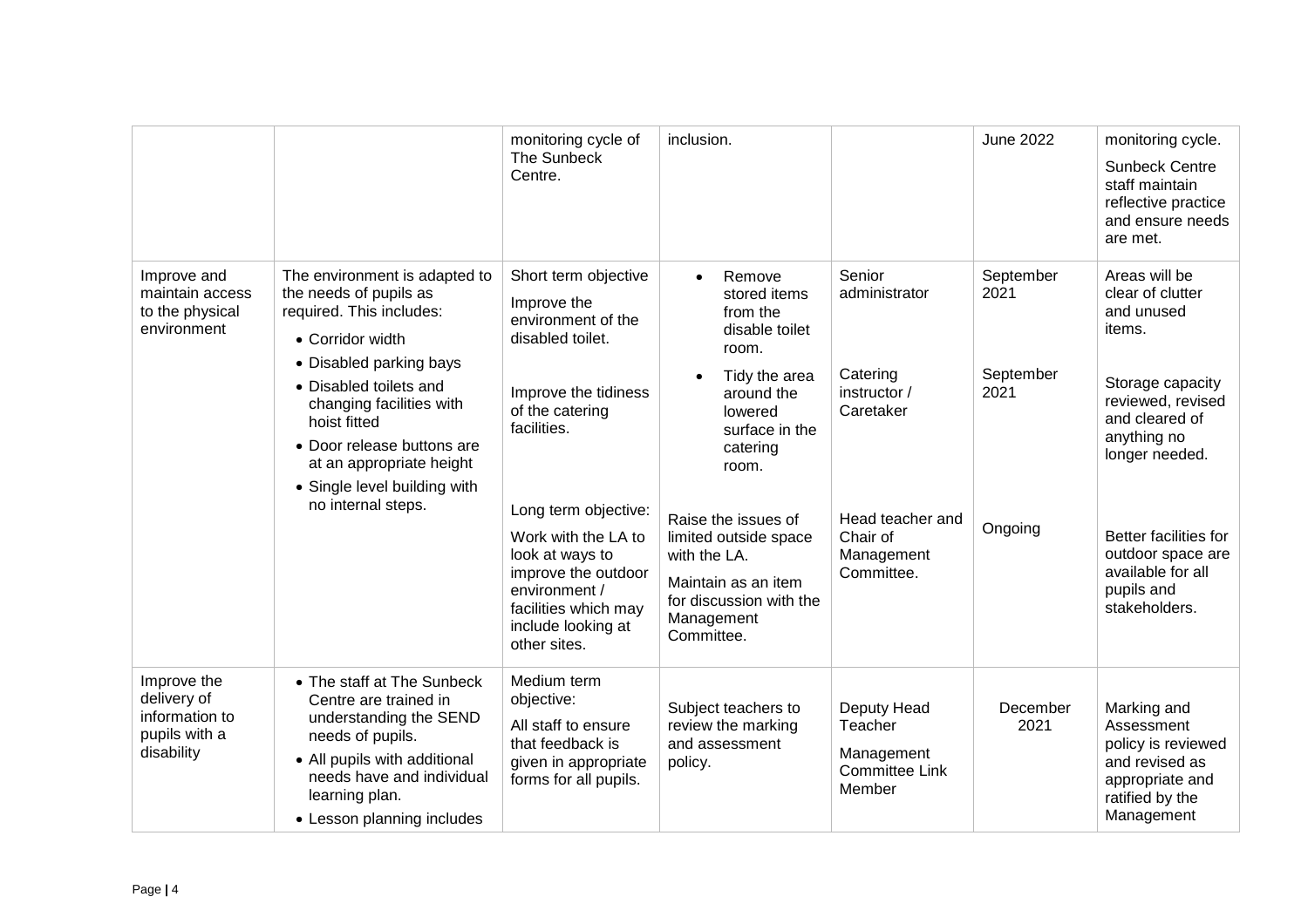|                                                                             |                                                                                                                                                                                                                                                                                                                          | monitoring cycle of<br>The Sunbeck<br>Centre.                                                                                                                                                                                                                                                                   | inclusion.                                                                                                                                                                                                                                                                                                             |                                                                                                                              | <b>June 2022</b>                                  | monitoring cycle.<br><b>Sunbeck Centre</b><br>staff maintain<br>reflective practice<br>and ensure needs<br>are met.                                                                                                                                     |
|-----------------------------------------------------------------------------|--------------------------------------------------------------------------------------------------------------------------------------------------------------------------------------------------------------------------------------------------------------------------------------------------------------------------|-----------------------------------------------------------------------------------------------------------------------------------------------------------------------------------------------------------------------------------------------------------------------------------------------------------------|------------------------------------------------------------------------------------------------------------------------------------------------------------------------------------------------------------------------------------------------------------------------------------------------------------------------|------------------------------------------------------------------------------------------------------------------------------|---------------------------------------------------|---------------------------------------------------------------------------------------------------------------------------------------------------------------------------------------------------------------------------------------------------------|
| Improve and<br>maintain access<br>to the physical<br>environment            | The environment is adapted to<br>the needs of pupils as<br>required. This includes:<br>• Corridor width<br>• Disabled parking bays<br>• Disabled toilets and<br>changing facilities with<br>hoist fitted<br>• Door release buttons are<br>at an appropriate height<br>• Single level building with<br>no internal steps. | Short term objective<br>Improve the<br>environment of the<br>disabled toilet.<br>Improve the tidiness<br>of the catering<br>facilities.<br>Long term objective:<br>Work with the LA to<br>look at ways to<br>improve the outdoor<br>environment /<br>facilities which may<br>include looking at<br>other sites. | Remove<br>$\bullet$<br>stored items<br>from the<br>disable toilet<br>room.<br>Tidy the area<br>$\bullet$<br>around the<br>lowered<br>surface in the<br>catering<br>room.<br>Raise the issues of<br>limited outside space<br>with the LA.<br>Maintain as an item<br>for discussion with the<br>Management<br>Committee. | Senior<br>administrator<br>Catering<br>instructor /<br>Caretaker<br>Head teacher and<br>Chair of<br>Management<br>Committee. | September<br>2021<br>September<br>2021<br>Ongoing | Areas will be<br>clear of clutter<br>and unused<br>items.<br>Storage capacity<br>reviewed, revised<br>and cleared of<br>anything no<br>longer needed.<br>Better facilities for<br>outdoor space are<br>available for all<br>pupils and<br>stakeholders. |
| Improve the<br>delivery of<br>information to<br>pupils with a<br>disability | • The staff at The Sunbeck<br>Centre are trained in<br>understanding the SEND<br>needs of pupils.<br>• All pupils with additional<br>needs have and individual<br>learning plan.<br>• Lesson planning includes                                                                                                           | Medium term<br>objective:<br>All staff to ensure<br>that feedback is<br>given in appropriate<br>forms for all pupils.                                                                                                                                                                                           | Subject teachers to<br>review the marking<br>and assessment<br>policy.                                                                                                                                                                                                                                                 | Deputy Head<br>Teacher<br>Management<br><b>Committee Link</b><br>Member                                                      | December<br>2021                                  | Marking and<br>Assessment<br>policy is reviewed<br>and revised as<br>appropriate and<br>ratified by the<br>Management                                                                                                                                   |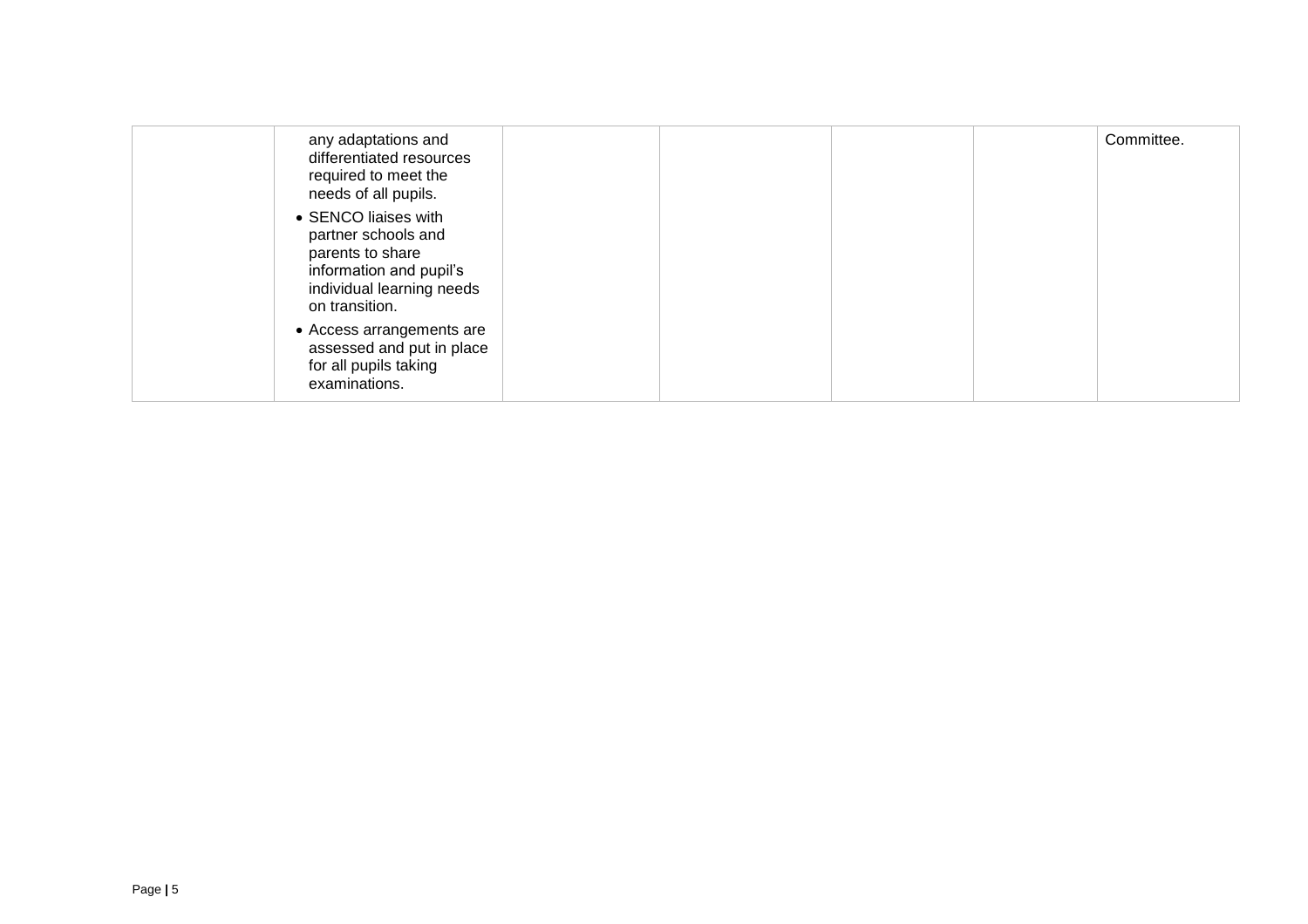| any adaptations and<br>differentiated resources<br>required to meet the<br>needs of all pupils.                                           |  | Committee. |
|-------------------------------------------------------------------------------------------------------------------------------------------|--|------------|
| • SENCO liaises with<br>partner schools and<br>parents to share<br>information and pupil's<br>individual learning needs<br>on transition. |  |            |
| • Access arrangements are<br>assessed and put in place<br>for all pupils taking<br>examinations.                                          |  |            |